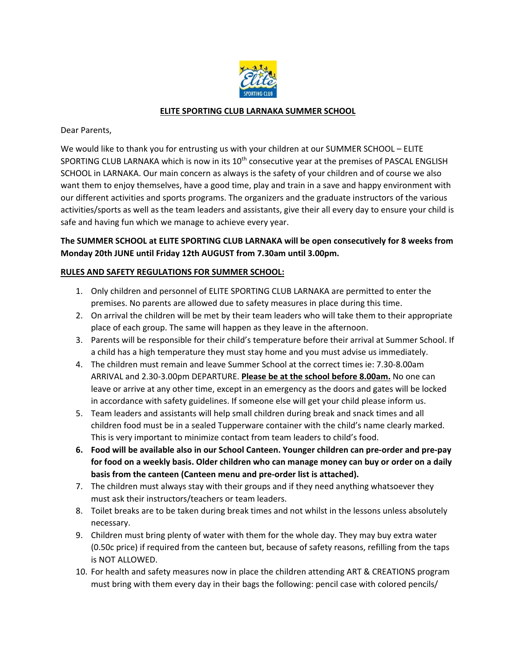

## **ELITE SPORTING CLUB LARNAKA SUMMER SCHOOL**

Dear Parents,

We would like to thank you for entrusting us with your children at our SUMMER SCHOOL – ELITE SPORTING CLUB LARNAKA which is now in its 10<sup>th</sup> consecutive year at the premises of PASCAL ENGLISH SCHOOL in LARNAKA. Our main concern as always is the safety of your children and of course we also want them to enjoy themselves, have a good time, play and train in a save and happy environment with our different activities and sports programs. The organizers and the graduate instructors of the various activities/sports as well as the team leaders and assistants, give their all every day to ensure your child is safe and having fun which we manage to achieve every year.

## **The SUMMER SCHOOL at ELITE SPORTING CLUB LARNAKA will be open consecutively for 8 weeks from Monday 20th JUNE until Friday 12th AUGUST from 7.30am until 3.00pm.**

## **RULES AND SAFETY REGULATIONS FOR SUMMER SCHOOL:**

- 1. Only children and personnel of ELITE SPORTING CLUB LARNAKA are permitted to enter the premises. No parents are allowed due to safety measures in place during this time.
- 2. On arrival the children will be met by their team leaders who will take them to their appropriate place of each group. The same will happen as they leave in the afternoon.
- 3. Parents will be responsible for their child's temperature before their arrival at Summer School. If a child has a high temperature they must stay home and you must advise us immediately.
- 4. The children must remain and leave Summer School at the correct times ie: 7.30‐8.00am ARRIVAL and 2.30‐3.00pm DEPARTURE. **Please be at the school before 8.00am.** No one can leave or arrive at any other time, except in an emergency as the doors and gates will be locked in accordance with safety guidelines. If someone else will get your child please inform us.
- 5. Team leaders and assistants will help small children during break and snack times and all children food must be in a sealed Tupperware container with the child's name clearly marked. This is very important to minimize contact from team leaders to child's food.
- **6. Food will be available also in our School Canteen. Younger children can pre‐order and pre‐pay for food on a weekly basis. Older children who can manage money can buy or order on a daily basis from the canteen (Canteen menu and pre‐order list is attached).**
- 7. The children must always stay with their groups and if they need anything whatsoever they must ask their instructors/teachers or team leaders.
- 8. Toilet breaks are to be taken during break times and not whilst in the lessons unless absolutely necessary.
- 9. Children must bring plenty of water with them for the whole day. They may buy extra water (0.50c price) if required from the canteen but, because of safety reasons, refilling from the taps is NOT ALLOWED.
- 10. For health and safety measures now in place the children attending ART & CREATIONS program must bring with them every day in their bags the following: pencil case with colored pencils/